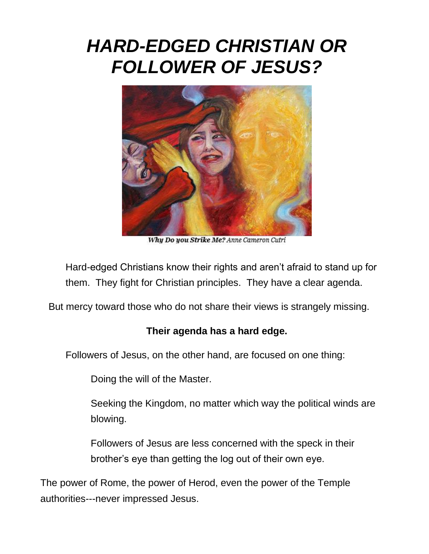## *HARD-EDGED CHRISTIAN OR FOLLOWER OF JESUS?*



Why Do you Strike Me? Anne Cameron Cutri

Hard-edged Christians know their rights and aren't afraid to stand up for them. They fight for Christian principles. They have a clear agenda.

But mercy toward those who do not share their views is strangely missing.

## **Their agenda has a hard edge.**

Followers of Jesus, on the other hand, are focused on one thing:

Doing the will of the Master.

Seeking the Kingdom, no matter which way the political winds are blowing.

Followers of Jesus are less concerned with the speck in their brother's eye than getting the log out of their own eye.

The power of Rome, the power of Herod, even the power of the Temple authorities---never impressed Jesus.